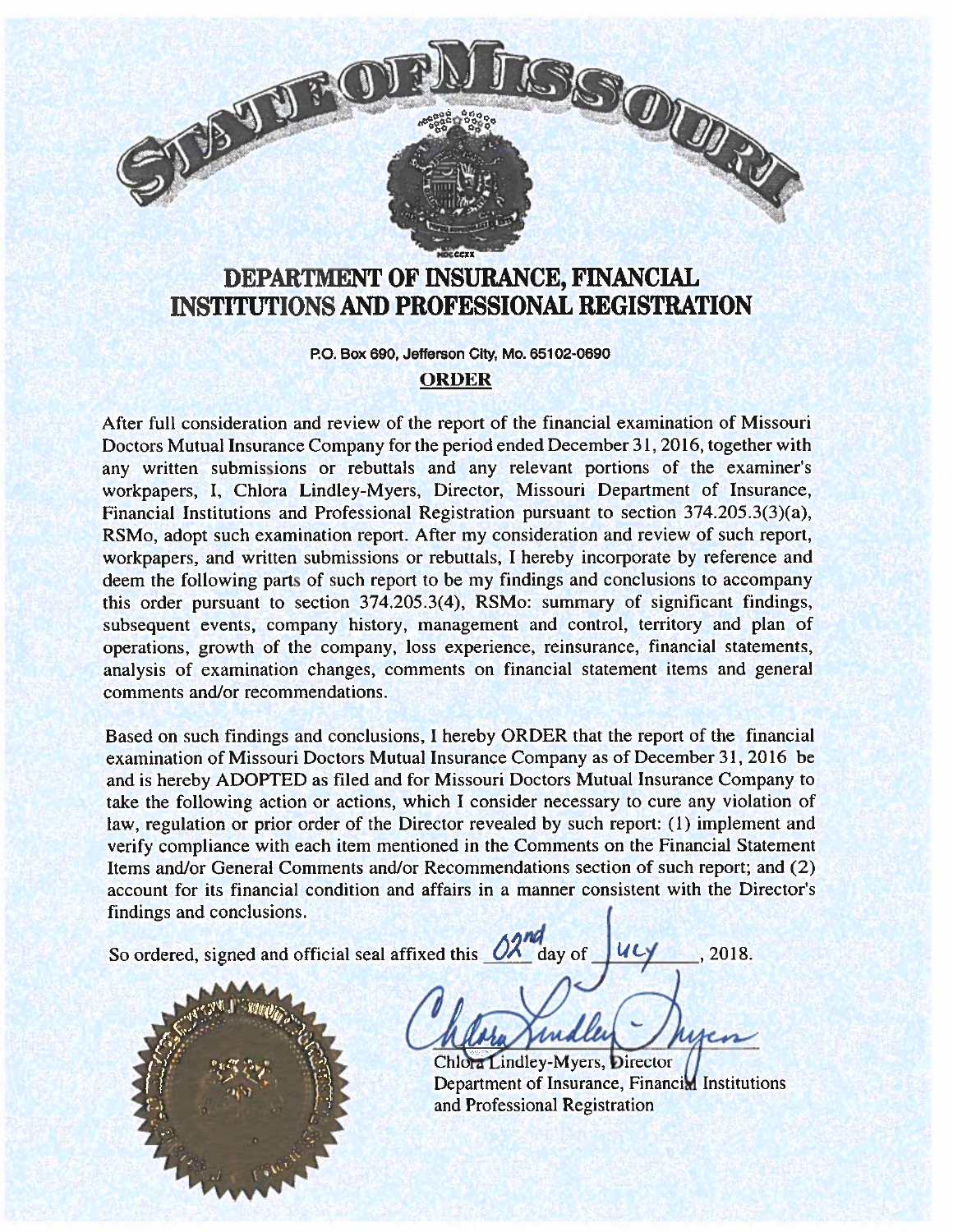

# DEPARTMENT OF INSURANCE, FINANCIAL INSTITUTIONS AND PROFESSIONAL REGISTRATION

P.O. Box 690, Jefferson City, Mo. 65102-0690

#### ORDER

After full consideration and review of the repor<sup>t</sup> of the financial examination of Missouri Doctors Mutual Insurance Company for the period ended December31, 2016, together with any written submissions or rebuttals and any relevant portions of the examiner's workpapers, I, Chiora Lindley-Myers, Director, Missouri Department of Insurance, Financial Institutions and Professional Registration pursuan<sup>t</sup> to section 374.205.3(3)(a), RSMo, adopt such examination report. After my consideration and review of such report, workpapers, and written submissions or rebuttals, I hereby incorporate by reference and deem the following parts of such repor<sup>t</sup> to be my findings and conclusions to accompany this order pursuan<sup>t</sup> to section 374.205.3(4), RSMo: summary of significant findings, subsequent events, company history, managemen<sup>t</sup> and control, territory and <sup>p</sup>lan of operations, growth of the company, loss experience, reinsurance, financial statements, analysis of examination changes, comments on financial statement items and general comments and/or recommendations.

Based on such findings and conclusions, 1 hereby ORDER that the repor<sup>t</sup> of the financial examination of Missouri Doctors Mutual Insurance Company as of December 31, 2016 be and is hereby ADOPTED as filed and for Missouri Doctors Mutual Insurance Company to take the following action or actions, which I consider necessary to cure any violation of law, regulation or prior order of the Director revealed by such report: (1) implement and verify compliance with each item mentioned in the Comments on the Financial Statement Items and/or General Comments and/or Recommendations section of such report; and (2) account for its financial condition and affairs in <sup>a</sup> manner consistent with the Director's findings and conclusions.

So ordered, signed and official seal affixed this  $\frac{\partial \lambda^{nq}}{\partial x^{nq}}$  day of ULY .2018.

Chlora Lindley-Myers, Director Department of Insurance, Financim Institutions and Professional Registration

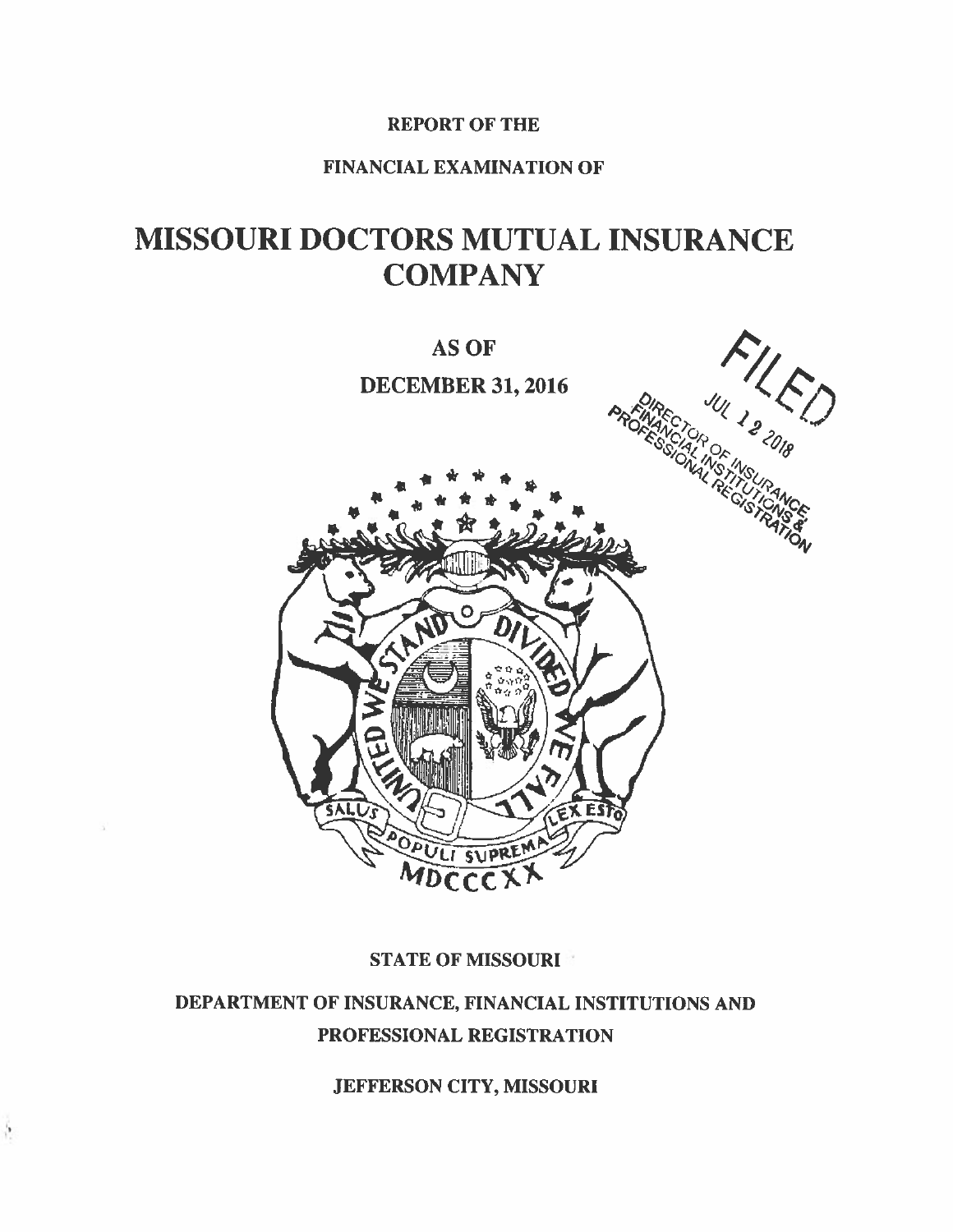# REPORT OF THE

# FINANCIAL EXAMINATION OF

# MISSOURI DOCTORS MUTUAL INSURANCE **COMPANY**



# **STATE OF MISSOURI**

# DEPARTMENT OF INSURANCE, FINANCIAL INSTITUTIONS AND PROFESSIONAL REGISTRATION

JEFFERSON CITY, MISSOURI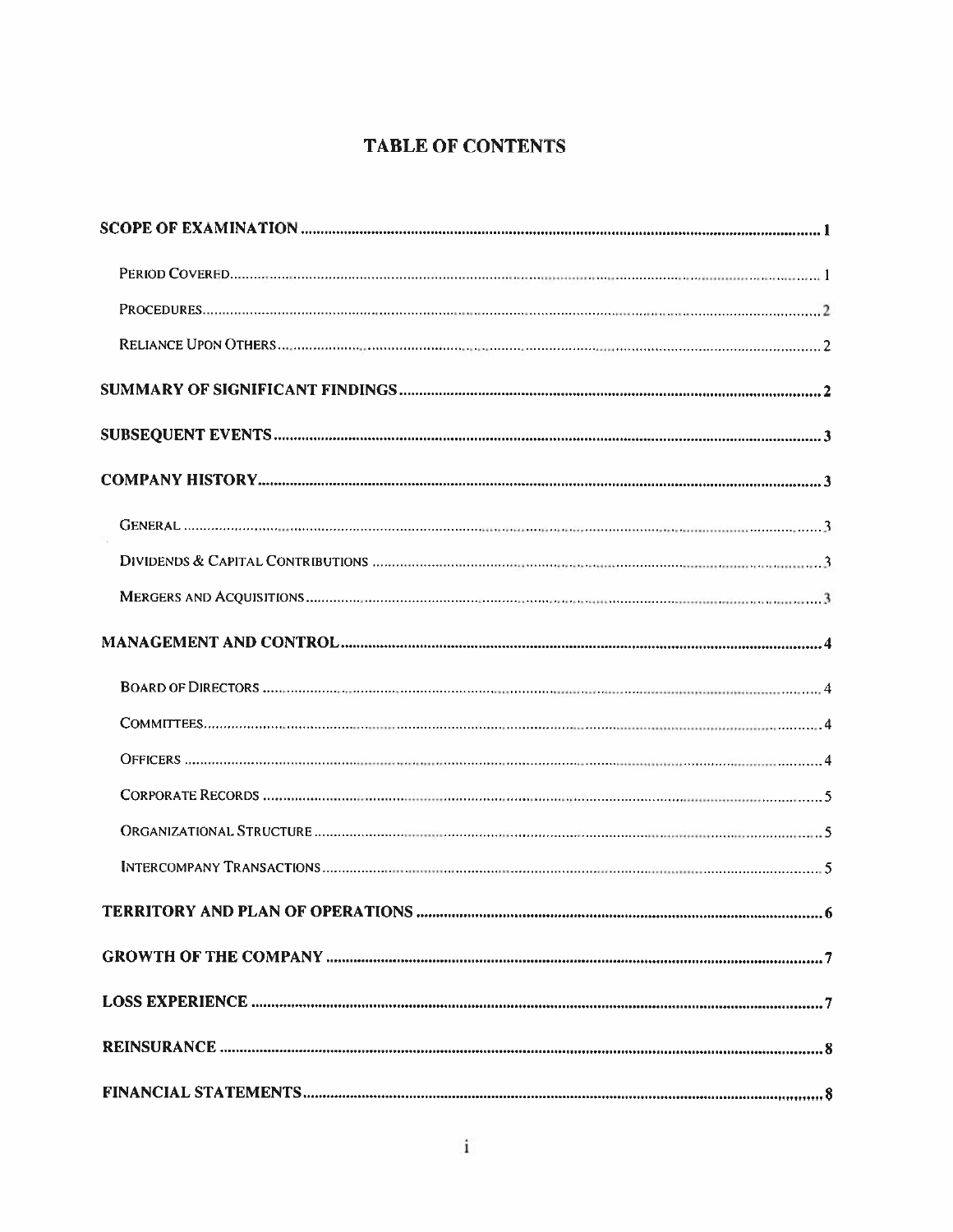# TABLE OF CONTENTS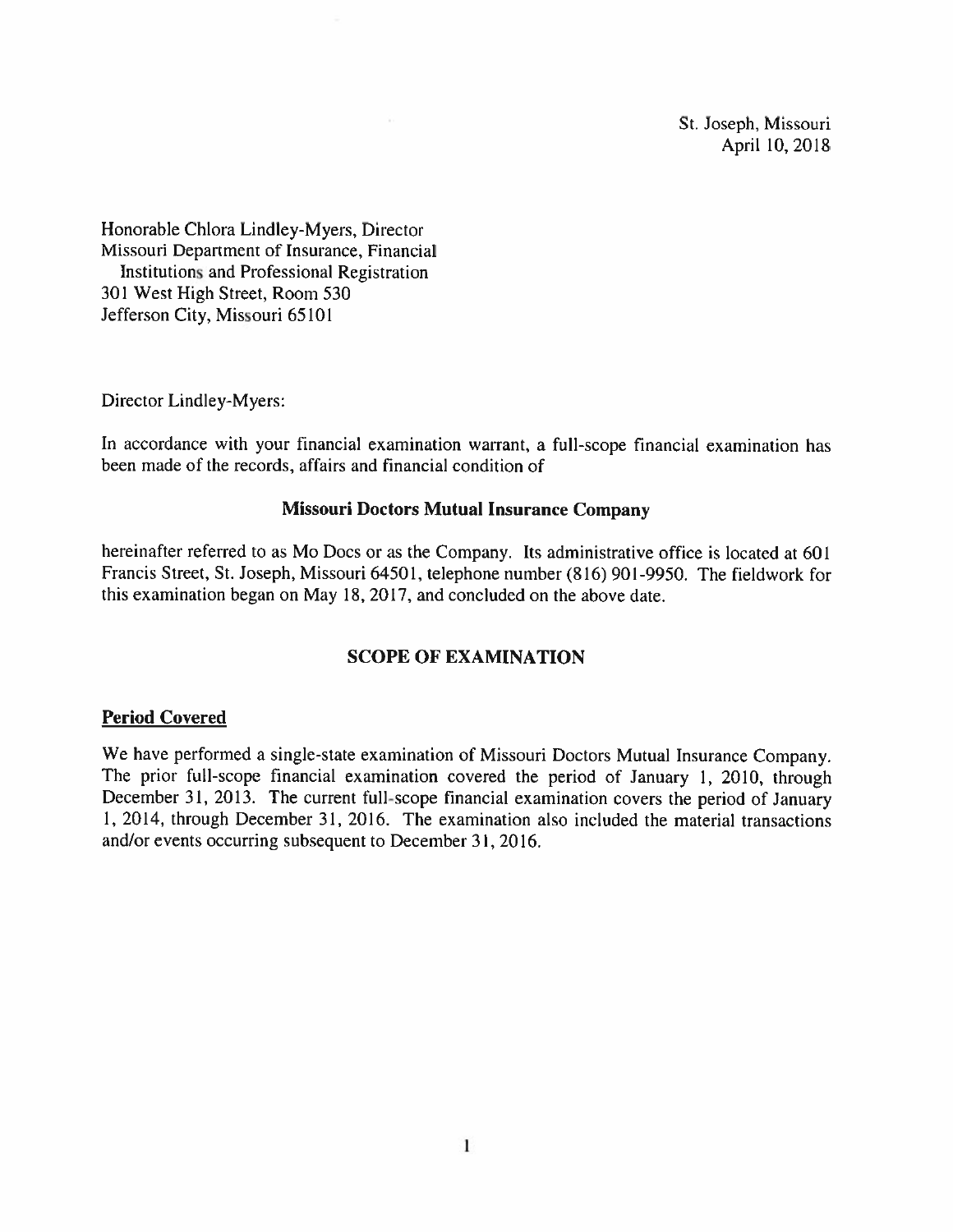St. Joseph, Missouri April 10, 2018

Honorable Chiora Lindley-Myers, Director Missouri Department of Insurance, Financial Institutions and Professional Registration 301 West High Street, Room 530 Jefferson City, Missouri 65101

Director Lindley-Myers:

In accordance with your financial examination warrant, <sup>a</sup> full-scope financial examination has been made of the records. affairs and financial condition of

#### Missouri Doctors Mutual Insurance Company

hereinafter referred to as Mo Docs or as the Company. Its administrative office is located at 601 Francis Strect, St. Joseph, Missouri 64501, telephone number (816) 901-9950. The fieldwork for this examination began on May 18, 2017, and concluded on the above date.

## SCOPE OF EXAMINATION

#### Period Covered

We have performed <sup>a</sup> single-state examination of Missouri Doctors Mutual Insurance Company. The prior full-scope financial examination covered the period of January 1, 2010, through December 31, 2013. The current full-scope financial examination covers the period of January 1, 2014, through December 31, 2016. The examination also included the material transactions and/or events occurring subsequent to December 31, 2016.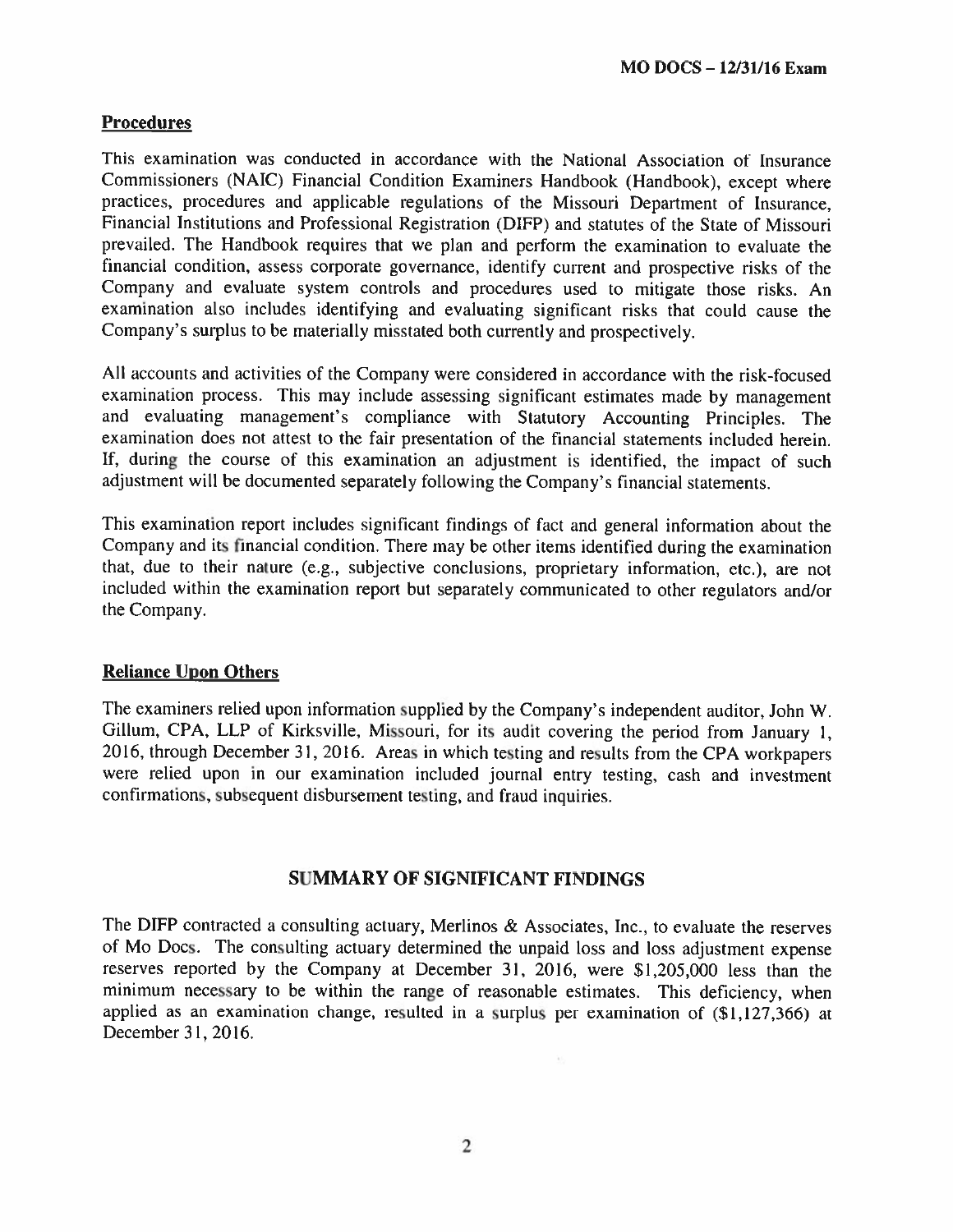# **Procedures**

This examination was conducted in accordance with the National Association of Insurance Commissioners (NAIC) Financial Condition Examiners Handbook (Handbook), excep<sup>t</sup> where practices, procedures and applicable regulations of the Missouri Department of Insurance. Financial Institutions and Professional Registration (DIEP) and statutes of the State of Missouri prevailed. The Handbook requires that we plan and perform the examination to evaluate the financial condition, assess corporate governance, identify current and prospective risks of the Company and evaluate system controls and procedures used to mitigate those risks. An examination also includes identifying and evaluating significant risks that could cause the Company's surplus to be materially misstated both currently and prospectively.

All accounts and activities of the Company were considered in accordance with the risk-focused examination process. This may include assessing significant estimates made by managemen<sup>t</sup> and evaluating management's compliance with Statutory Accounting Principles. The examination does not attest to the fair presentation of the financial statements included herein. If. during the course of this examination an adjustment is identified, the impact of such adjustment will be documented separately following the Company's financial statements.

This examination repor<sup>t</sup> includes significant findings of fact and genera<sup>l</sup> information about the Company and its financial condition. There may be other items identified during the examination that, due to their nature (e.g., subjective conclusions, proprietary information, etc.), are not included within the examination repor<sup>t</sup> but separately communicated to other regulators and/or the Company.

### Reliance Upon Others

The examiners relied upon information supplied by the Company's independent auditor, John W. Gillum, CPA, LLP of Kirksville, Missouri, for its audit covering the period from January 1, 2016, through December 31, 2016. Areas in which testing and results from the CPA workpapers were relied upon in our examination included journal entry testing, cash and investment confirmations, subsequent disbursement testing, and fraud inquiries.

### SUMMARY OF SIGNIFICANT FINDINGS

The DIFP contracted a consulting actuary, Merlinos & Associates, Inc., to evaluate the reserves of Mo Docs. The consulting actuary determined the unpaid loss and loss adjustment expense reserves reported by the Company at December 31, 2016. were \$1,205,000 less than the minimum necessary to be within the range of reasonable estimates. This deficiency, when applied as an examination change, resulted in <sup>a</sup> surplus per examination of (\$l.127,366) at December 31, 2016.

 $\chi$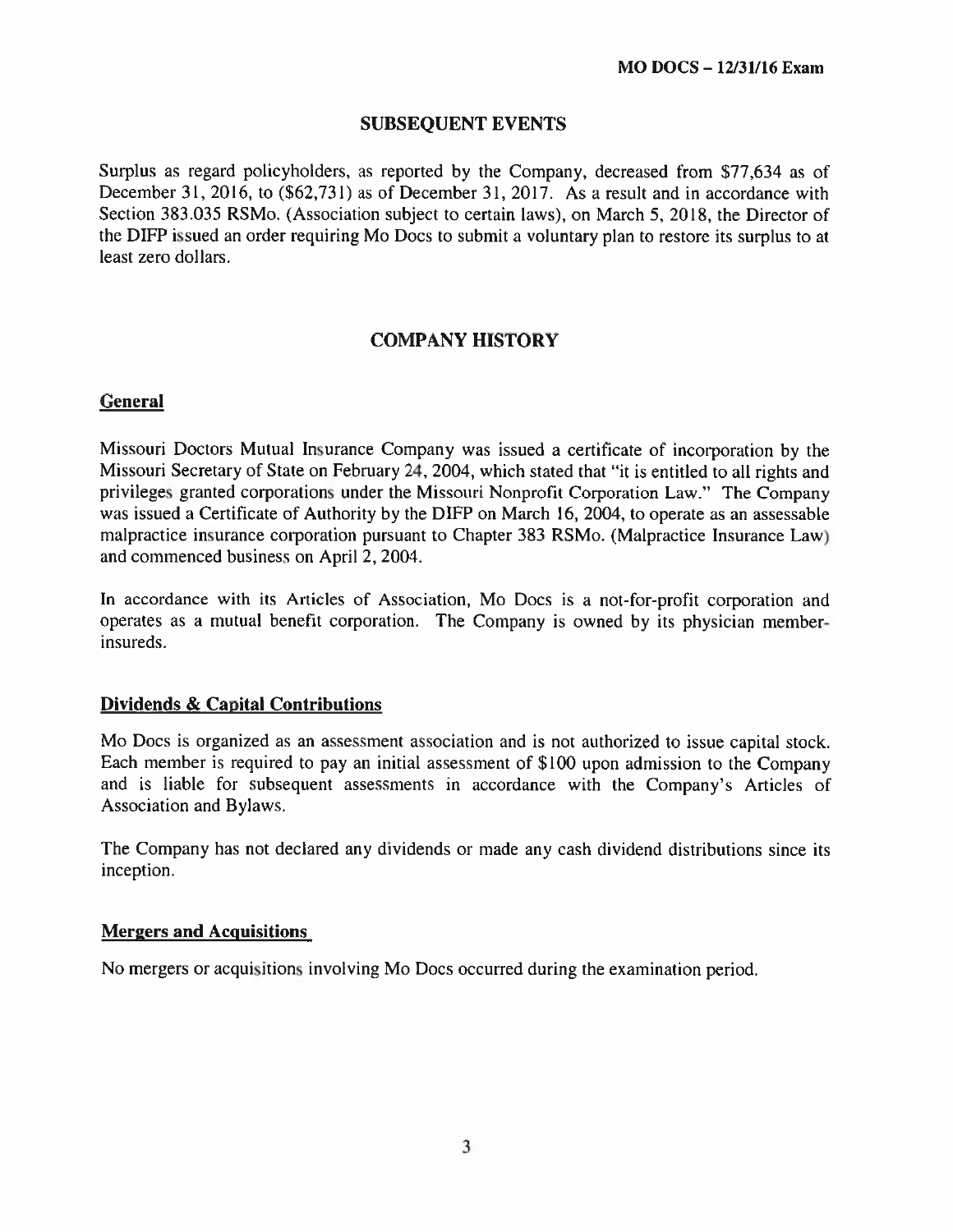### SUBSEQUENT EVENTS

Surplus as regard policyholders, as reported by the Company, decreased from \$77,634 as of December 31, 2016. to (562.731) as of December 31. 2017. As <sup>a</sup> result and in accordance with Section 383.035 RSMo. (Association subject to certain laws), on March 5, 2018, the Director of the DIFP issued an order requiring Mo Docs to submit <sup>a</sup> voluntary plan to restore its surplus to at least zero dollars.

# COMPANY HISTORY

# **General**

Missouri Doctors Mutual Insurance Company was issued <sup>a</sup> certificate of incorporation by the Missouri Secretary of State on February 24, 2004. which stated that "it is entitled to all rights and privileges granted corporations under the Missouri Nonprofit Corporation Law." The Company was issued <sup>a</sup> Certificate of Authority by the DIFP on March 16, 2004, to operate as an assessable malpractice insurance corporation pursuan<sup>t</sup> to Chapter 383 RSMo. (Malpractice Insurance Law) and commenced business on April 2, 2004.

In accordance with its Articles of Association, Mo Docs is <sup>a</sup> not-for-profit corporation and operates as <sup>a</sup> mutual benefit corporation. The Company is owned by its physician member insureds.

### Dividends & Capital Contributions

Mo Docs is organized as an assessment association and is not authorized to issue capital stock. Each member is required to pay an initial assessment of 5100 upon admission to the Company and is liable for subsequent assessments in accordance with the Company's Articles of Association and Bylaws.

The Company has not declared any dividends or made any cash dividend distributions since its inception.

#### Mergers and Acquisitions

No mergers or acquisitions involving Mo Docs occurred during the examination period.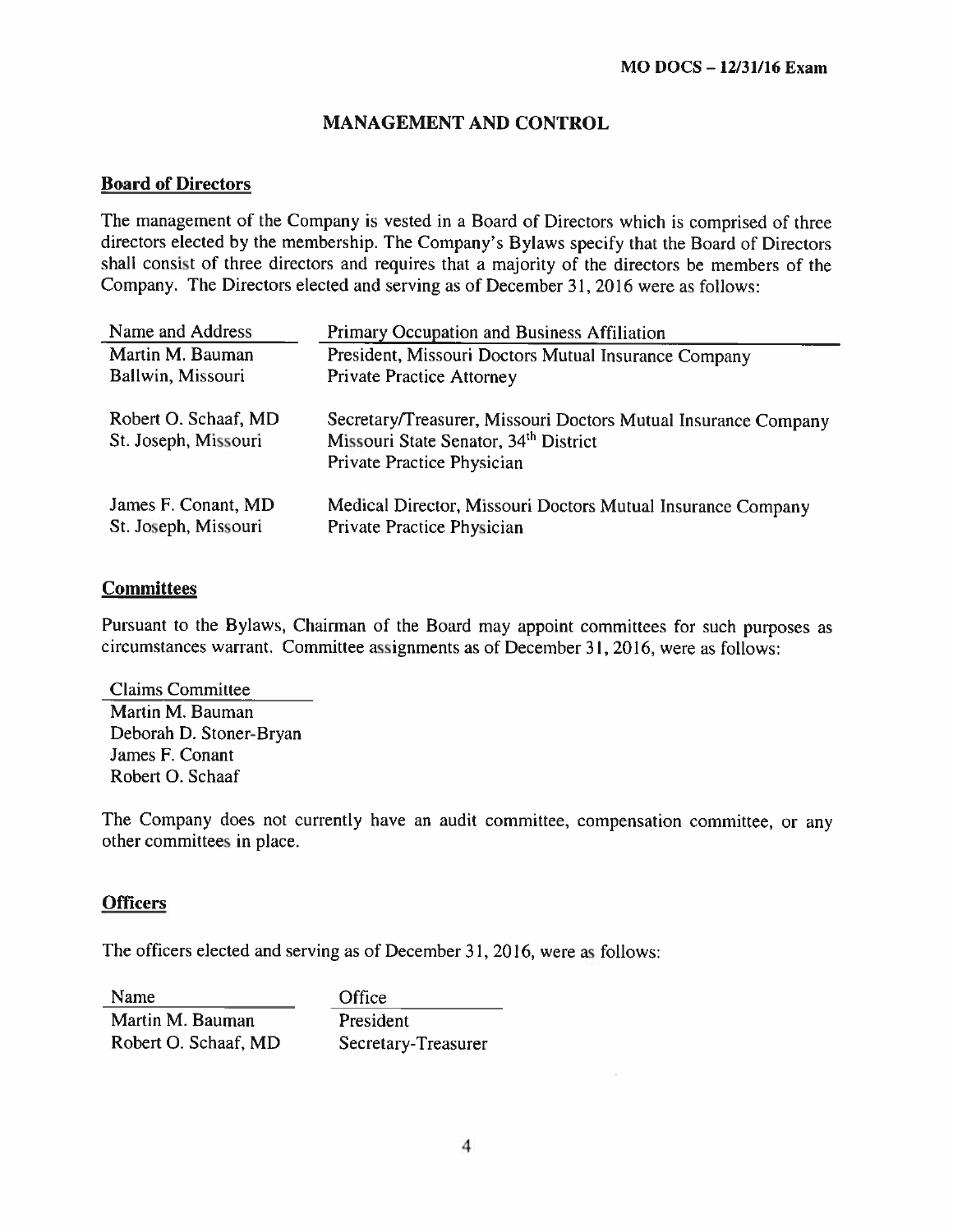# MANAGEMENT AND CONTROL

# Board of Directors

The managemen<sup>t</sup> of the Company is vested in <sup>a</sup> Board of Directors which is comprised of three directors elected by the membership. The Company's Bylaws specify that the Board of Directors shall consist of three directors and requires that <sup>a</sup> majority of the directors he members of the Company. The Directors elected and serving as of December 31, 2016 were as follows:

| Name and Address                             | Primary Occupation and Business Affiliation                                                                                           |
|----------------------------------------------|---------------------------------------------------------------------------------------------------------------------------------------|
| Martin M. Bauman                             | President, Missouri Doctors Mutual Insurance Company                                                                                  |
| Ballwin, Missouri                            | <b>Private Practice Attorney</b>                                                                                                      |
| Robert O. Schaaf, MD<br>St. Joseph, Missouri | Secretary/Treasurer, Missouri Doctors Mutual Insurance Company<br>Missouri State Senator, 34th District<br>Private Practice Physician |
| James F. Conant, MD<br>St. Joseph, Missouri  | Medical Director, Missouri Doctors Mutual Insurance Company<br>Private Practice Physician                                             |

### **Committees**

Pursuant to the Bylaws. Chairman of the Board may appoint committees for such purposes as circumstances warrant. Committee assignments as of December 31, 2016. were as follows:

Claims Committee Martin M. Bauman Deborah D. Stoner-Bryan James F. Conant Robert 0. Schaaf

The Company does not currently have an audit committee, compensation committee, or any other committees in place.

# **Officers**

The officers elected and serving as of December 31, 2016, were as follows:

Name Office Martin M. Bauman President Robert O. Schaaf, MD Secretary-Treasurer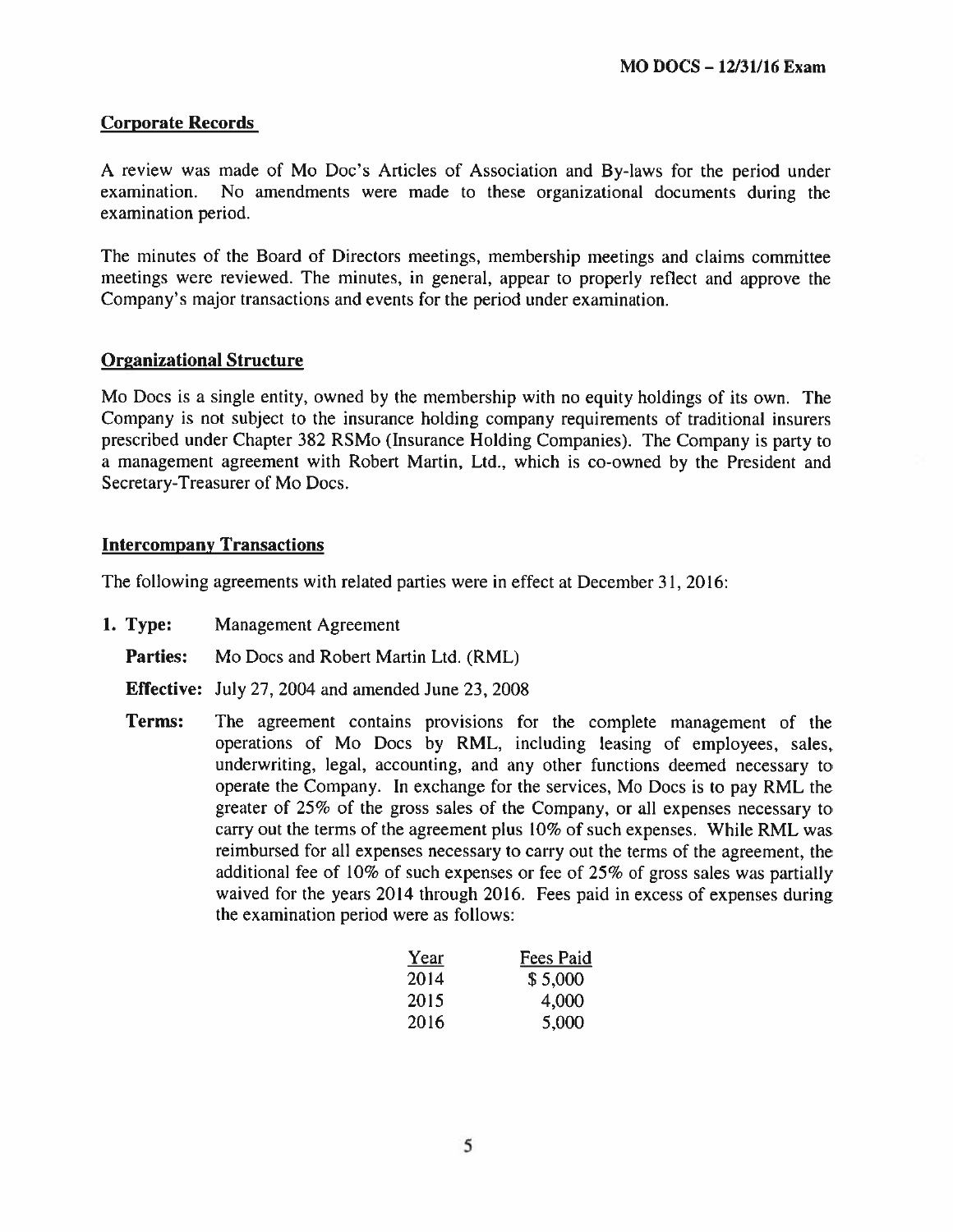### Corporate Records

A review was made of Mo Doc's Articles of Association and By-laws for the period under examination. No amendments were made to these organizational documents during the examination period.

The minutes of the Board of Directors meetings. membership meetings and claims committee meetings were reviewed. The minutes. in general. appear to properly reflect and approve the Company's major transactions and events for the period under examination.

#### Organizational Structure

Mo Docs is <sup>a</sup> single entity, owned by the membership with no equity holdings of its own. The Company is not subject to the insurance holding company requirements of traditional insurers prescribed under Chapter <sup>382</sup> RSMo (Insurance Holding Companies). The Company is party to <sup>a</sup> managemen<sup>t</sup> agreemen<sup>t</sup> with Robert Martin, Ltd.. which is co-owned by the President and Secretary-Treasurer of Mo Docs.

#### Intercompany Transactions

The following agreements with related parties were in effect at December 31, 2016:

- 1. Type: Management Agreement
	- Parties: Mo Docs and Robert Martin Ltd. (RML)
	- Effective: July 27, 2004 and amended June 23, 2008
	- Terms: The agreemen<sup>t</sup> contains provisions for the complete managemen<sup>t</sup> of the operations of Mo Docs by RML, including leasing of employees, sales. underwriting, legal, accounting. and any other functions deemed necessary to operate the Company. in exchange for the services, Mo Docs is to pay RML the greater of 25% of the gross sales of the Company, or all expenses necessary to carry out the terms of the agreemen<sup>t</sup> plus 10% of such expenses. While RML was reimbursed for all expenses necessary to carry out the terms of the agreement, the additional fee of 10% of such expenses or fee of 25% of gross sales was partially waived for the years 2014 through 2016. Fees paid in excess of expenses during the examination period were as follows:

| Year | Fees Paid |
|------|-----------|
| 2014 | \$5,000   |
| 2015 | 4,000     |
| 2016 | 5,000     |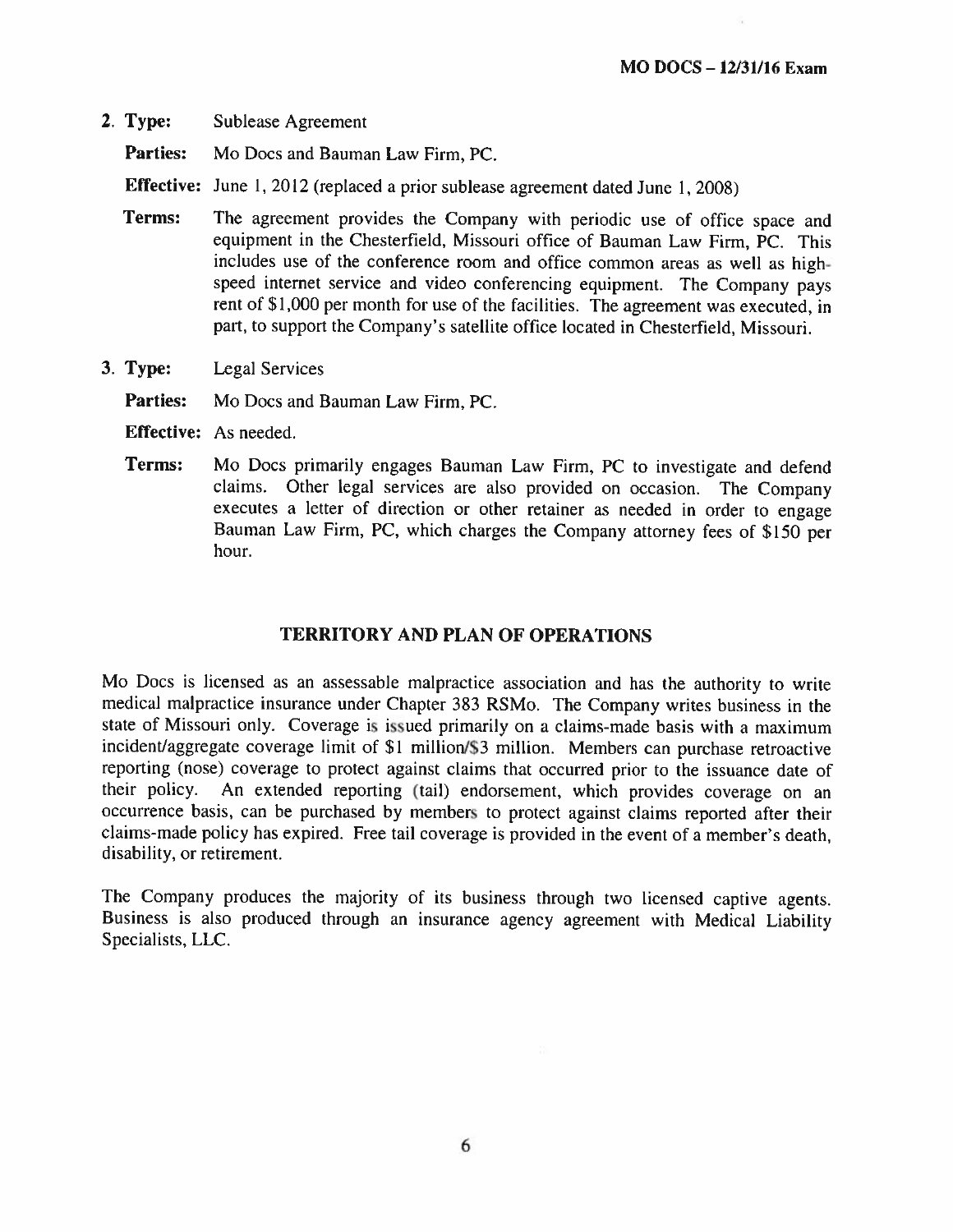2. Type: Sublease Agreement

Parties: Mo Docs and Bauman Law Firm, PC.

Effective: June 1, 2012 (replaced a prior sublease agreement dated June 1, 2008)

- Terms: The agreement provides the Company with periodic use of office space and equipment in the Chesterfield, Missouri office of Bauman Law Firm, PC. This includes use of the conference room and office common areas as well as highspeed internet service and video conferencing equipment. The Company pays rent of \$1,000 per month for use of the facilities. The agreement was executed, in part, to support the Company's satellite office located in Chesterfield, Missouri.
- 3. Type: Legal Services

Parties: Mo Docs and Bauman Law Firm, PC.

- Effective: As needed.
- Terms: Mo Does primarily engages Bauman Law Firm, PC to investigate and defend claims. Other legal services are also provided on occasion. The Company executes <sup>a</sup> letter of direction or other retainer as needed in order to engage Bauman Law Firm, PC, which charges the Company attorney fees of \$150 per hour.

#### TERRITORY AND PLAN OF OPERATIONS

Mo Does is licensed as an assessable malpractice association and has the authority to write medical malpractice insurance under Chapter <sup>383</sup> RSMo. The Company writes business in the state of Missouri only. Coverage is issued primarily on <sup>a</sup> claims-made basis with <sup>a</sup> maximum incident/aggregate coverage limit of \$1 million/S3 million. Members can purchase retroactive reporting (nose) coverage to protect against claims that occurred prior to the issuance date of their policy. An extended reporting (tail) endorsement, which provides coverage on an occurrence basis, can he purchased by members to protect against claims reported after their claims-made policy has expired. Free tail coverage is provided in the event of <sup>a</sup> member's death, disability. or retirement.

The Company produces the majority of its business through two licensed captive agents. Business is also produced through an insurance agency agreement with Medical Liability Specialists, LLC.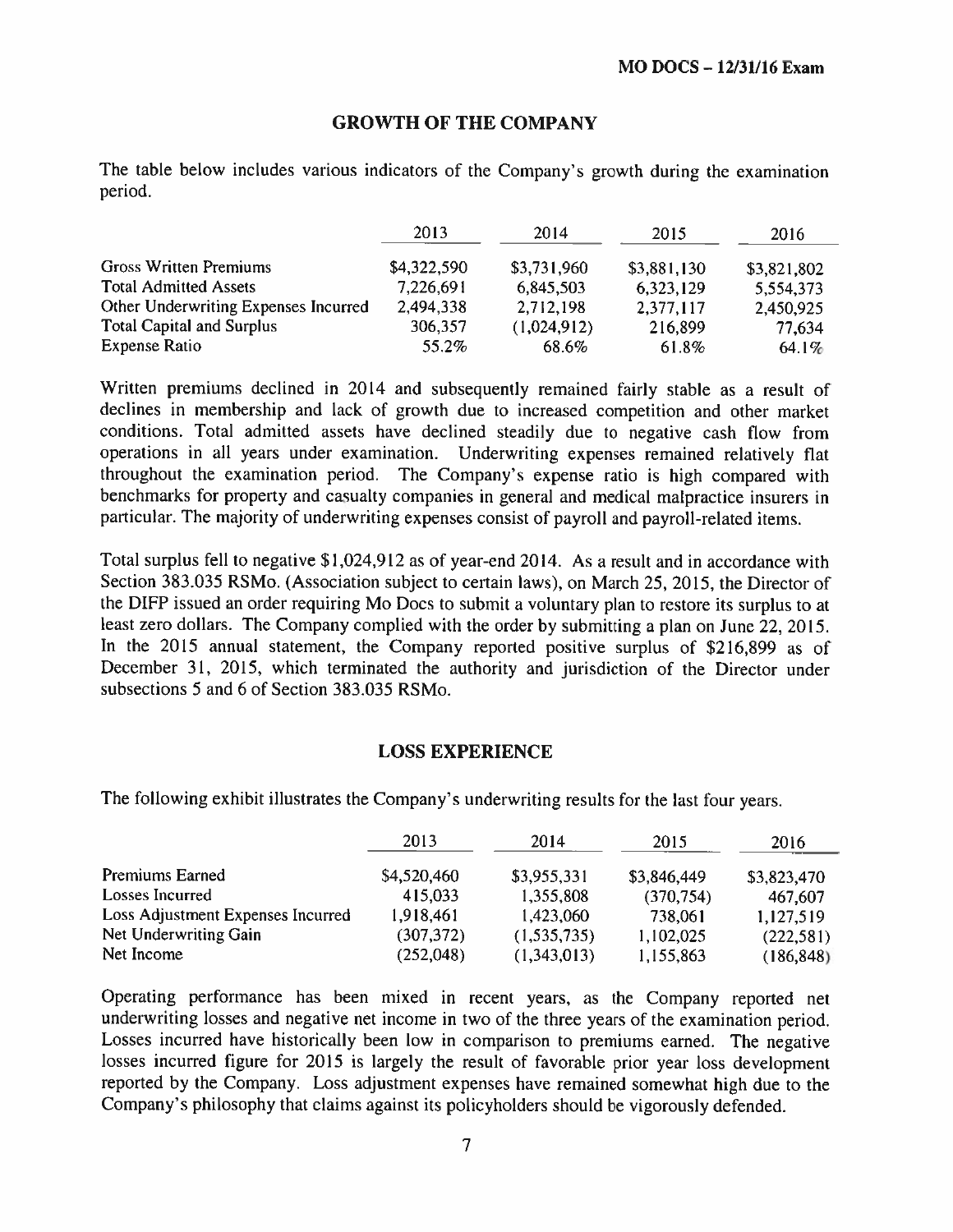#### GROWTH OF THE COMPANY

The table below includes various indicators of the Company's growth during the examination period.

|                                      | 2013        | 2014        | 2015        | 2016        |
|--------------------------------------|-------------|-------------|-------------|-------------|
| Gross Written Premiums               | \$4,322,590 | \$3,731,960 | \$3,881,130 | \$3,821,802 |
| <b>Total Admitted Assets</b>         | 7,226,691   | 6,845,503   | 6,323,129   | 5,554,373   |
| Other Underwriting Expenses Incurred | 2,494,338   | 2,712,198   | 2,377,117   | 2,450,925   |
| <b>Total Capital and Surplus</b>     | 306,357     | (1,024,912) | 216,899     | 77,634      |
| <b>Expense Ratio</b>                 | 55.2%       | 68.6%       | 61.8%       | 64.1%       |

Written premiums declined in <sup>2014</sup> and subsequently remained fairly stable as <sup>a</sup> result of declines in membership and lack of growth due to increased competition and other market conditions. Total admitted assets have declined steadily due to negative cash flow from operations in all years under examination. Underwriting expenses remained relatively flat throughout the examination period. The Company's expense ratio is high compare<sup>d</sup> with benchmarks for property and casualty companies in genera<sup>l</sup> and medical malpractice insurers in particular. The majority of underwriting expenses consist of payroll and payroll-related items.

Total surplus fell to negative \$1,024,912 as of year-end 2014. As <sup>a</sup> result and in accordance with Section 383.035 RSMo. (Association subject to certain laws), on March 25, 2015, the Director of the DIEP issued an order requiring Mo Docs to submit <sup>a</sup> voluntary <sup>p</sup>lan to restore its surplus to at least zero dollars. The Company complied with the order by submitting <sup>a</sup> <sup>p</sup>lan on June 22, 2015. In the 2015 annual statement, the Company reported positive surplus of \$216,899 as of December 31, 2015, which terminated the authority and jurisdiction of the Director under subsections 5 and 6 of Section 383.035 RSMo.

#### LOSS EXPERIENCE

The following exhibit illustrates the Company's underwriting results for the last four years.

|                                   | 2013        | 2014        | 2015        | 2016        |
|-----------------------------------|-------------|-------------|-------------|-------------|
| Premiums Earned                   | \$4,520,460 | \$3,955,331 | \$3,846,449 | \$3,823,470 |
| Losses Incurred                   | 415,033     | 1,355,808   | (370, 754)  | 467,607     |
| Loss Adjustment Expenses Incurred | 1,918,461   | 1,423,060   | 738,061     | 1,127,519   |
| Net Underwriting Gain             | (307, 372)  | (1,535,735) | 1,102,025   | (222, 581)  |
| Net Income                        | (252,048)   | (1,343,013) | 1,155,863   | (186, 848)  |

Operating performance has been mixed in recent years, as the Company reported net underwriting losses and negative net income in two of the three years of the examination period. Losses incurred have historically been low in comparison to premiums earned. The negative losses incurred figure for <sup>2015</sup> is largely the result of favorable prior year loss development reported by the Company. Loss adjustment expenses have remained somewhat high due to the Company's <sup>p</sup>hilosophy that claims against its policyholders should be vigorously defended.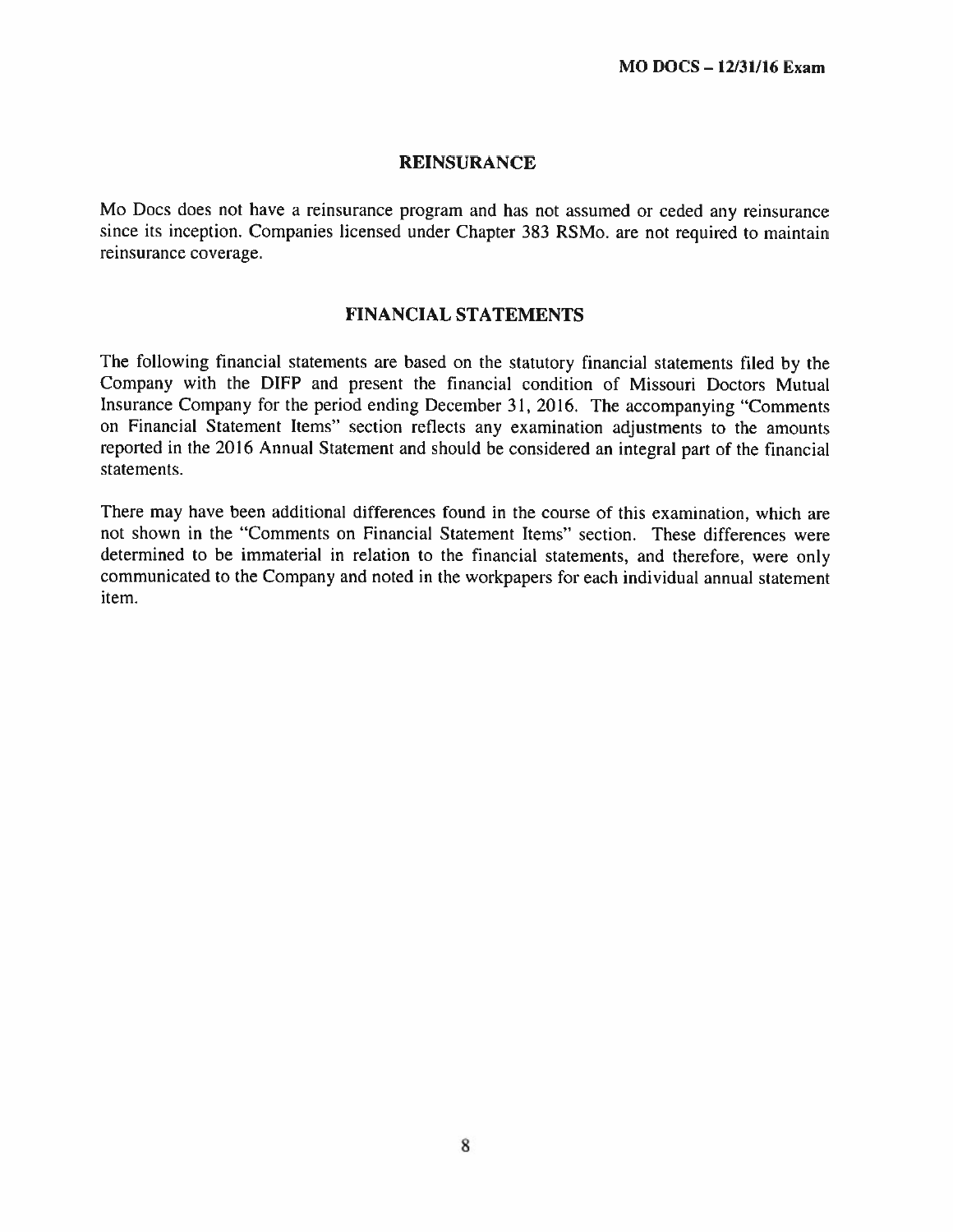#### REINSURANCE

Mo Does does not have <sup>a</sup> reinsurance program and has not assumed or ceded any reinsurance since its inception. Companies licensed under Chapter <sup>383</sup> RSMo. are not required to maintain reinsurance coverage.

### FINANCIAL STATEMENTS

The following financial statements are based on the statutory financial statements filed by the Company with the DIFP and present the financial condition of Missouri Doctors Mutual Insurance Company for the period ending December 31. 2016. The accompanying "Comments on Financial Statement Items" section reflects any examination adjustments to the amounts reported in the <sup>2016</sup> Annual Statcment and should he considered an integral par<sup>t</sup> of the financial statements.

There may have been additional differences found in the course of this examination, which are not shown in the "Comments on Financial Statement Items" section. These differences were determined to be immaterial in relation to the financial statements, and therefore, were only communicated to the Company and noted in the workpapers for each individual annual statement item.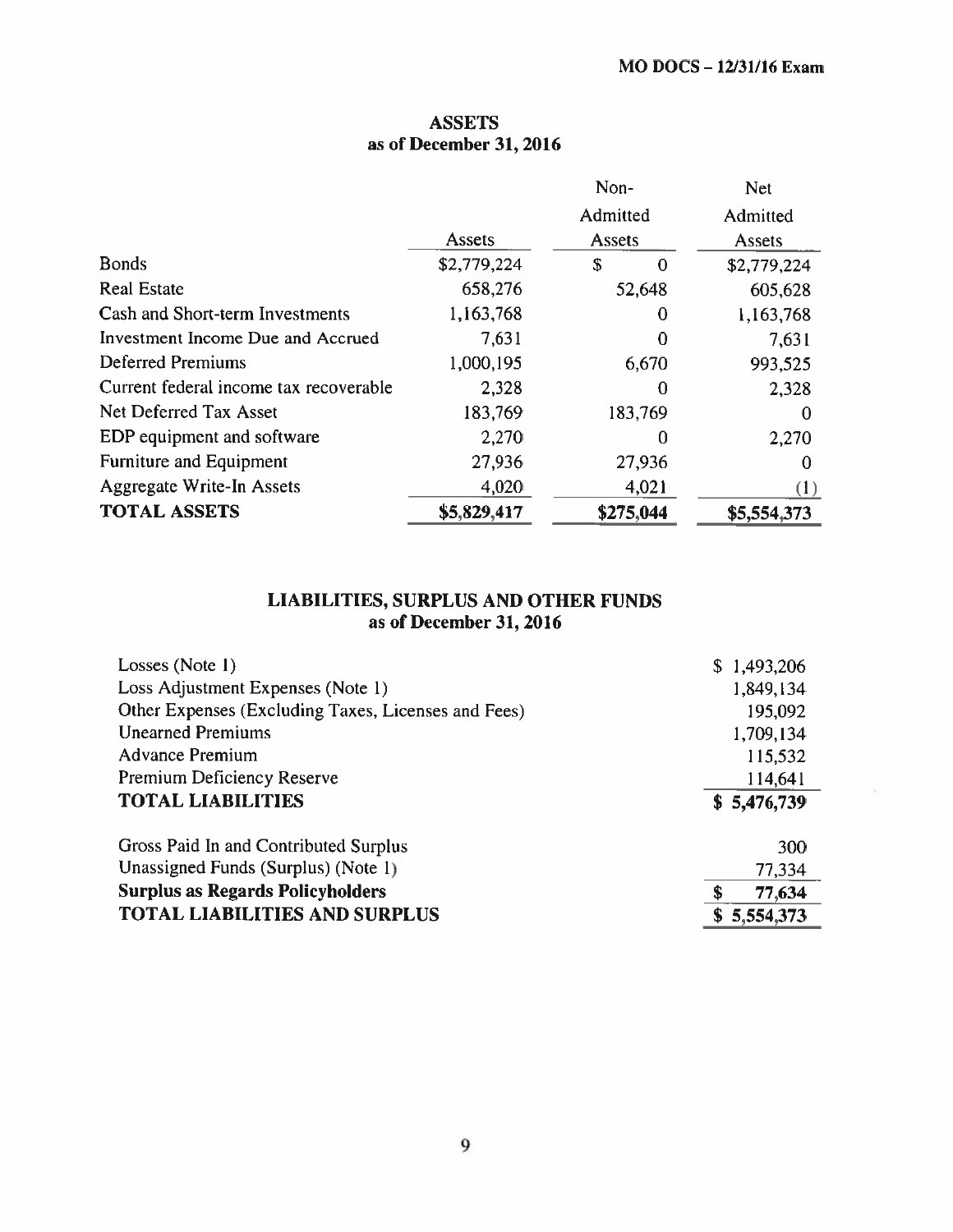# ASSETS as of December 31, 2016

|                                        |             | Non-           | <b>Net</b>  |
|----------------------------------------|-------------|----------------|-------------|
|                                        |             | Admitted       | Admitted    |
|                                        | Assets      | Assets         | Assets      |
| <b>Bonds</b>                           | \$2,779,224 | \$<br>$\bf{0}$ | \$2,779,224 |
| <b>Real Estate</b>                     | 658,276     | 52,648         | 605,628     |
| Cash and Short-term Investments        | 1,163,768   | $_{0}$         | 1,163,768   |
| Investment Income Due and Accrued      | 7,631       | 0              | 7,631       |
| <b>Deferred Premiums</b>               | 1,000,195   | 6,670          | 993,525     |
| Current federal income tax recoverable | 2,328       | 0              | 2,328       |
| Net Deferred Tax Asset                 | 183,769     | 183,769        | 0           |
| EDP equipment and software             | 2,270       | 0              | 2,270       |
| <b>Furniture and Equipment</b>         | 27,936      | 27,936         | 0           |
| <b>Aggregate Write-In Assets</b>       | 4,020       | 4,021          | (1)         |
| <b>TOTAL ASSETS</b>                    | \$5,829,417 | \$275,044      | \$5,554,373 |

#### LIABILITIES, SURPLUS AND OTHER FUNDS as of December 31, 2016

| Losses (Note 1)                                     | \$1,493,206  |
|-----------------------------------------------------|--------------|
| Loss Adjustment Expenses (Note 1)                   | 1,849,134    |
| Other Expenses (Excluding Taxes, Licenses and Fees) | 195,092      |
| <b>Unearned Premiums</b>                            | 1,709,134    |
| <b>Advance Premium</b>                              | 115,532      |
| <b>Premium Deficiency Reserve</b>                   | 114,641      |
| <b>TOTAL LIABILITIES</b>                            | \$5,476,739  |
|                                                     |              |
| Gross Paid In and Contributed Surplus               | 300          |
| Unassigned Funds (Surplus) (Note 1)                 | 77,334       |
| <b>Surplus as Regards Policyholders</b>             | \$<br>77,634 |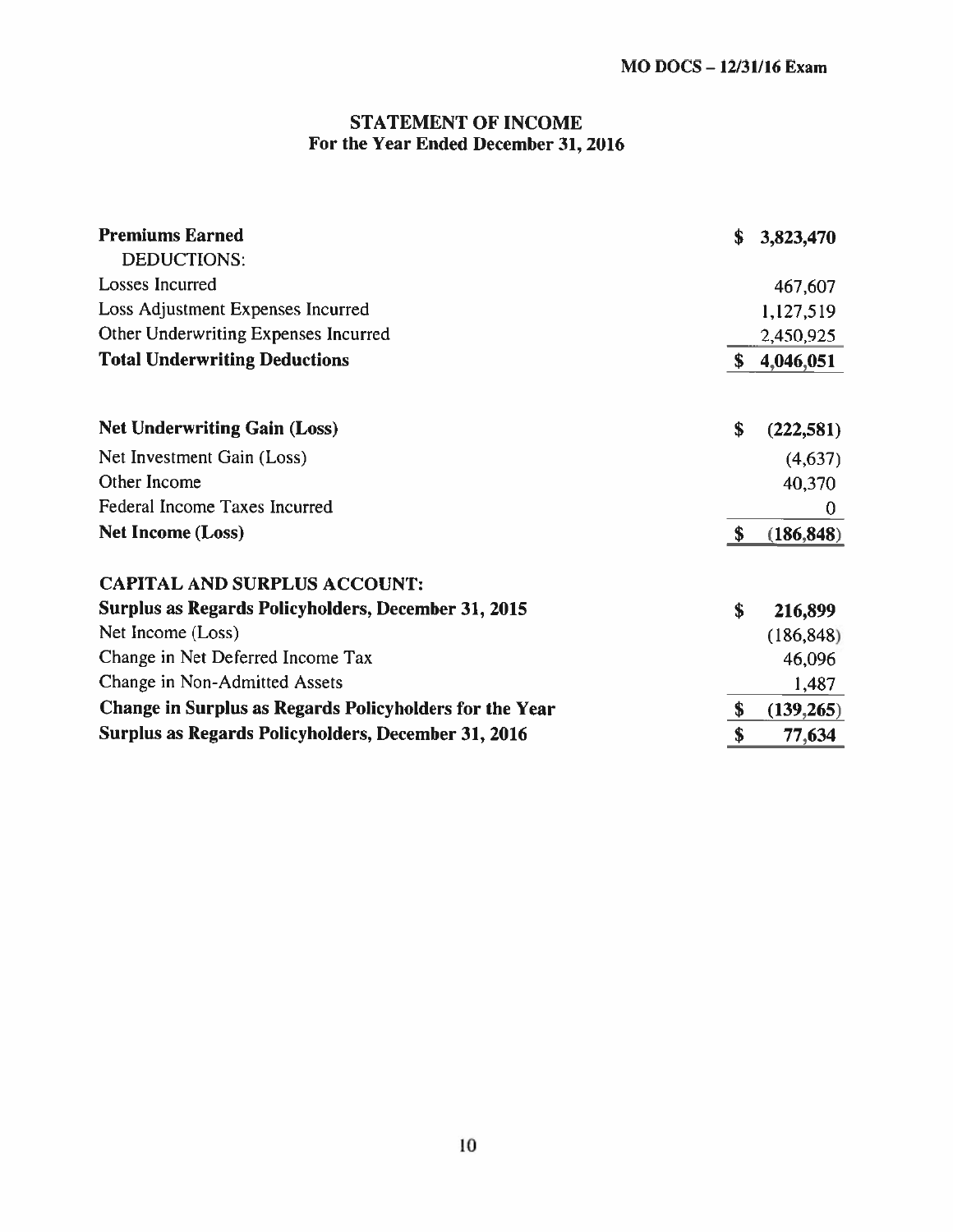# STATEMENT OF INCOME For the Year Ended December 31, 2016

| <b>Premiums Earned</b><br>DEDUCTIONS:                   | \$<br>3,823,470  |
|---------------------------------------------------------|------------------|
| Losses Incurred                                         | 467,607          |
| Loss Adjustment Expenses Incurred                       | 1,127,519        |
| Other Underwriting Expenses Incurred                    | 2,450,925        |
| <b>Total Underwriting Deductions</b>                    | \$<br>4,046,051  |
| <b>Net Underwriting Gain (Loss)</b>                     | \$<br>(222, 581) |
| Net Investment Gain (Loss)                              | (4,637)          |
| Other Income                                            | 40,370           |
| Federal Income Taxes Incurred                           | $\bf{0}$         |
| <b>Net Income (Loss)</b>                                | \$<br>(186, 848) |
|                                                         |                  |
| <b>CAPITAL AND SURPLUS ACCOUNT:</b>                     |                  |
| Surplus as Regards Policyholders, December 31, 2015     | \$<br>216,899    |
| Net Income (Loss)                                       | (186, 848)       |
| Change in Net Deferred Income Tax                       | 46,096           |
| Change in Non-Admitted Assets                           | 1,487            |
| Change in Surplus as Regards Policyholders for the Year | \$<br>(139,265)  |
| Surplus as Regards Policyholders, December 31, 2016     | \$<br>77,634     |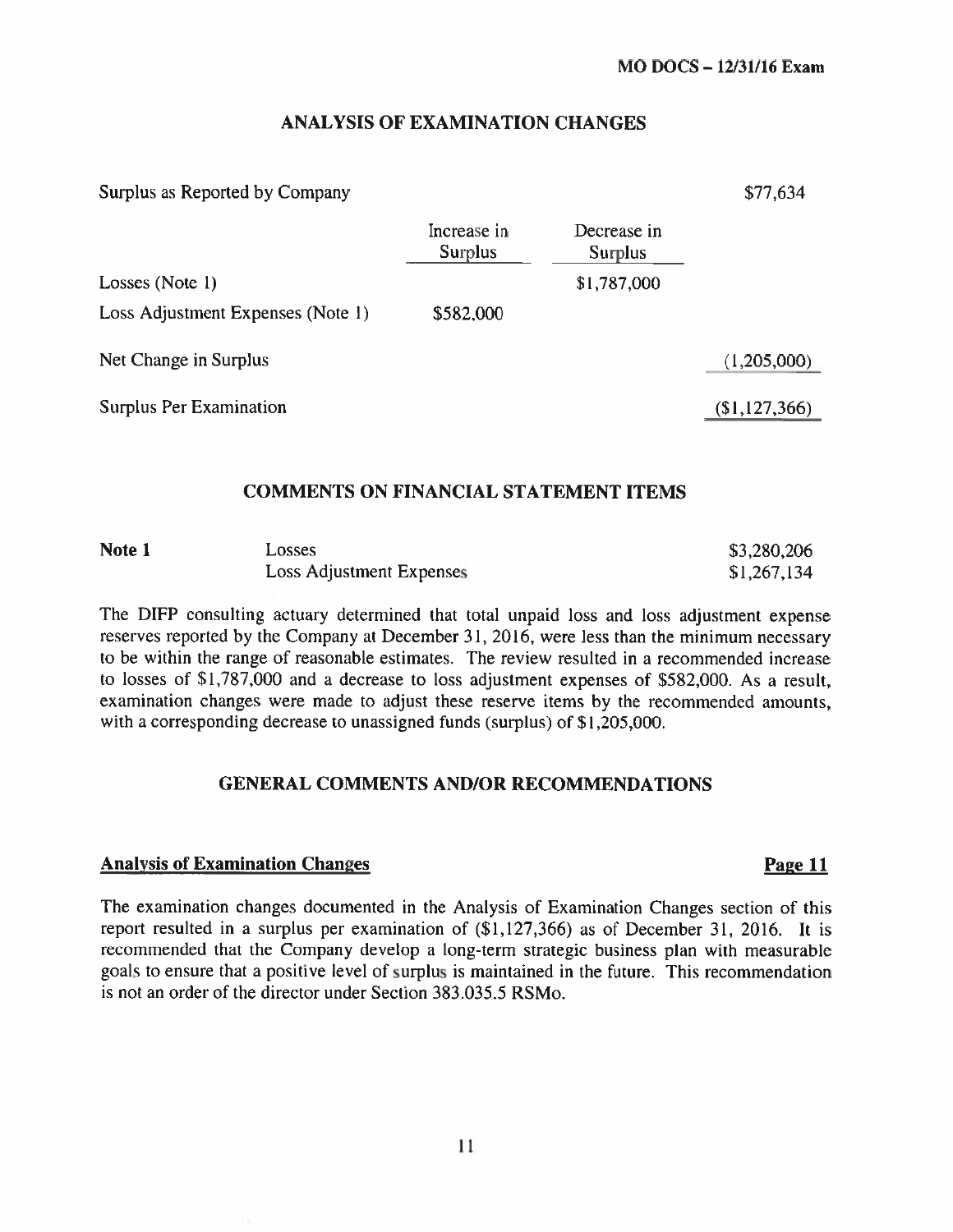# ANALYSIS OF EXAMINATION CHANGES

#### Surplus as Reported by Company 577,634

|                                   | Increase in<br><b>Surplus</b> | Decrease in<br><b>Surplus</b> |               |
|-----------------------------------|-------------------------------|-------------------------------|---------------|
| Losses (Note 1)                   |                               | \$1,787,000                   |               |
| Loss Adjustment Expenses (Note 1) | \$582,000                     |                               |               |
| Net Change in Surplus             |                               |                               | (1,205,000)   |
| Surplus Per Examination           |                               |                               | (\$1,127,366) |

### COMMENTS ON FINANCIAL STATEMENT ITEMS

| Note 1 | Losses                   | \$3,280,206 |
|--------|--------------------------|-------------|
|        | Loss Adjustment Expenses | \$1,267,134 |

The DIFP consulting actuary determined that total unpaid loss and loss adjustment expense reserves reported by the Company at December 31, 2016, were less than the minimum necessary to be within the range of reasonable estimates. The review resulted in <sup>a</sup> recommended increase to losses of \$1,787,000 and <sup>a</sup> decrease to loss adjustment expenses of \$582,000, As <sup>a</sup> result, examination changes were made to adjust these reserve items by the recommended amounts, with a corresponding decrease to unassigned funds (surplus) of \$1,205,000.

#### GENERAL COMMENTS AND/OR RECOMMENDATIONS

#### Analysis of Examination Changes **Page 11**

The examination changes documented in the Analysis of Examination Changes section of this report resulted in a surplus per examination of  $(\$1,127,366)$  as of December 31, 2016. It is recommended that the Company develop <sup>a</sup> long-term strategic business <sup>p</sup>lan with measurable goals to ensure that <sup>a</sup> positive level of surplus is maintained in the future. This recommendation is not an order of the director under Section 383.035.5 RSMo.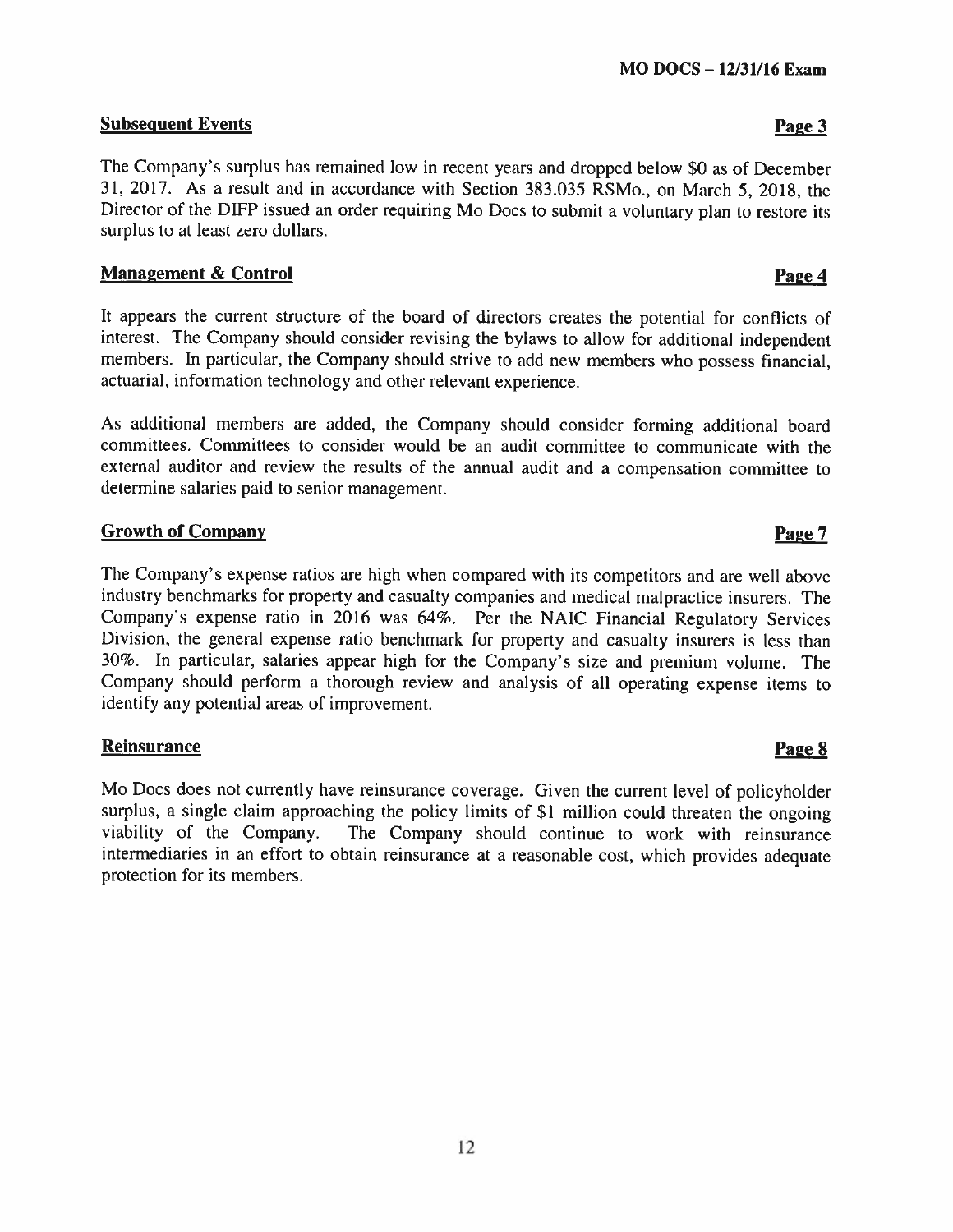# Subsequent Events **Page 3**

The Company's surplus has remained low in recent years and dropped below \$0 as of December 31, 2017. As <sup>a</sup> result and in accordance with Section 383.035 RSMo.. on March 5, 2018. the Director of the DIFP issued an order requiring Mo Does to submit <sup>a</sup> voluntary <sup>p</sup>lan to restore its surplus to at least zero dollars.

## Management & Control **Page 4**

It appears the current structure of the board of directors creates the potential for conflicts of interest. The Company should consider revising the bylaws to allow for additional independent members. In particular, the Company should strive to add new members who possess financial, actuarial, information technology and other relevant experience.

As additional members are added, the Company should consider forming additional board committees. Committees to consider would be an audit committee to communicate with the external auditor and review the results of the annual audit and <sup>a</sup> compensation committee to determine salaries paid to senior management.

# Growth of Company Page 7

The Company's expense ratios are high when compare<sup>d</sup> with its competitors and are well above industry benchmarks for property and casualty companies and medical malpractice insurers. The Company's expense ratio in <sup>2016</sup> was 64%. Per the NAIC Financial Regulatory Services Division, the genera<sup>l</sup> expense ratio benchmark for property and casualty insurers is less than 30%. In particular, salaries appear high for the Company's size and premium volume. The Company should perform <sup>a</sup> thorough review and analysis of all operating expense items to identify any potential areas of improvement.

# **Reinsurance Page 8**

Mo Does does not currently have reinsurance coverage. Given the current level of policyholder surplus. <sup>a</sup> single claim approaching the policy limits of \$1 million could threaten the ongoing viability of the Company. The Company should continue to work with reinsurance intermediaries in an effort to obtain reinsurance at <sup>a</sup> reasonable cost, which provides adequate protection for its members.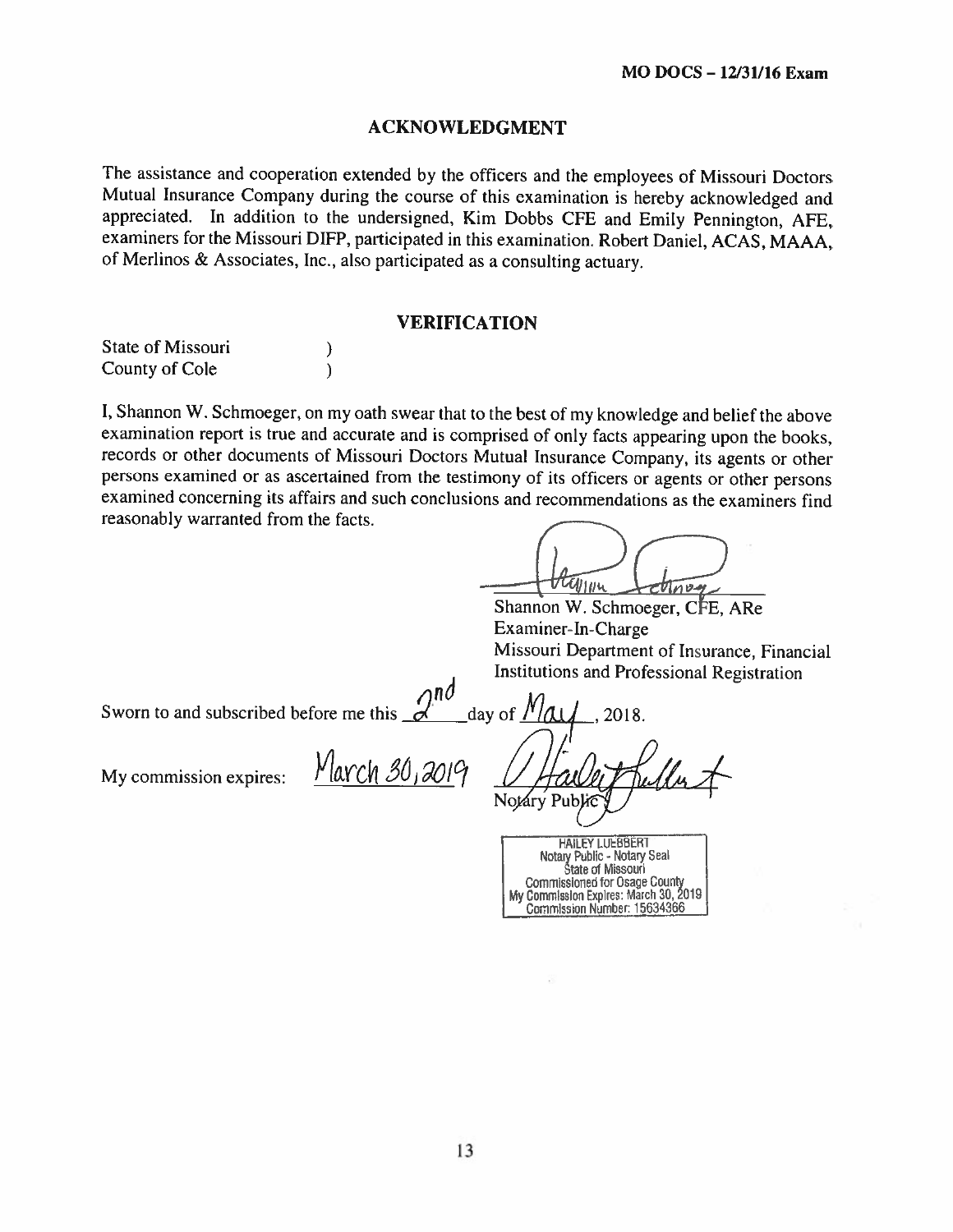### ACKNOWLEDGMENT

The assistance and cooperation extended by the officers and the employees of Missouri Doctors Mutual Insurance Company during the course of this examination is hereby acknowledged and appreciated. In addition to the undersigned, Kim Dobbs CFE and Emily Penningion. AFE, examiners for the Missouri DIFP, participated in this examination. Robert Daniel. ACAS. MAAA. of Merlinos & Associates, Inc., also participated as a consulting actuary.

#### VERIFICATION

State of Missouri County of Cole

I. Shannon W. Schmoeger, on my oath swear that to the best of my knowledge and belief the above examination report is true and accurate and is comprised of only facts appearing upon the books, records or other documents of Missouri Doctors Mutual Insurance Company, its agents or other persons examined or as ascertained from the testimony of its officers or agents or other persons examined concerning its affairs and such conclusions and recommendations as the examiners find reasonably warranted from the facts.

 $\sigma$ 

Shannon W. Schmoeger, CFE, ARe Examiner-In-Charge Missouri Department of Insurance, Financial Institutions and Professional Registration<br>
day of  $M_{\text{A}}$ , 2018.

Sworn to and subscribed before me this 2018.

 $\mathcal{E}$  $\lambda$ 

 $My$  commission expires:  $N\alpha Ch$  30, 2019

Notáry Pub)

Commissioned for Osage County<br>My Commission Expires: March 30, 2019<br>Commission Number: 15634366 HAILEY LUEBBERT<br>Notary Public - Notary Seal<br>State of Missouri Commissioned for Osage County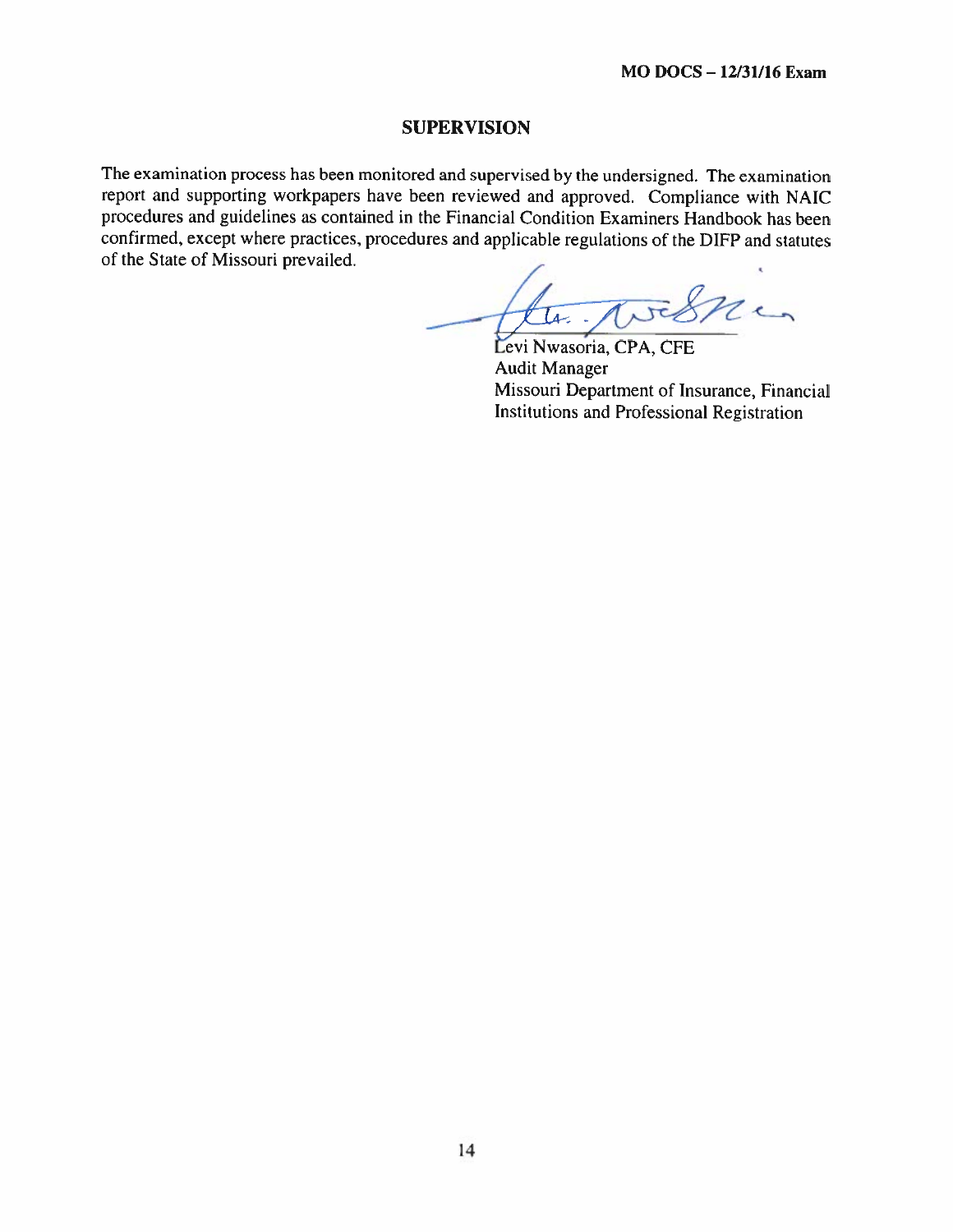#### SUPERVISION

The examination process has been monitored and supervised by the undersigned. The examination report and supporting workpapers have been reviewed and approved. Compliance with NAIC procedures and guidelines as contained in the Financial Condition Examiners Handbook has been confirmed, except where practices, procedures and applicable regulations of the DIFP and statutes of the State of Missouri prevailed.

nen  $\overline{\mu}$ .

Levi Nwasoria, CPA, CFE Audit Manager Missouri Department of Insurance. Financial Institutions and Professional Registration